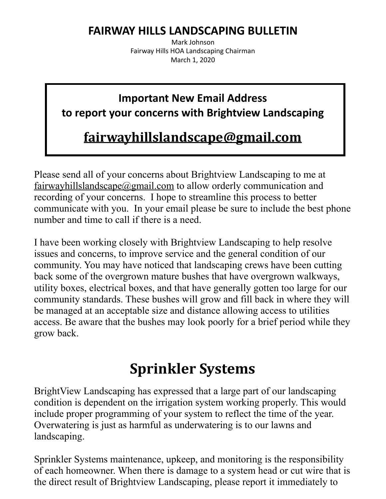### **FAIRWAY HILLS LANDSCAPING BULLETIN**

Mark Johnson Fairway Hills HOA Landscaping Chairman March 1, 2020

### **Important New Email Address to report your concerns with Brightview Landscaping**

### **fairwayhillslandscape@gmail.com**

Please send all of your concerns about Brightview Landscaping to me at fairwayhillslandscape@gmail.com to allow orderly communication and recording of your concerns. I hope to streamline this process to better communicate with you. In your email please be sure to include the best phone number and time to call if there is a need.

I have been working closely with Brightview Landscaping to help resolve issues and concerns, to improve service and the general condition of our community. You may have noticed that landscaping crews have been cutting back some of the overgrown mature bushes that have overgrown walkways, utility boxes, electrical boxes, and that have generally gotten too large for our community standards. These bushes will grow and fill back in where they will be managed at an acceptable size and distance allowing access to utilities access. Be aware that the bushes may look poorly for a brief period while they grow back.

## **Sprinkler Systems**

BrightView Landscaping has expressed that a large part of our landscaping condition is dependent on the irrigation system working properly. This would include proper programming of your system to reflect the time of the year. Overwatering is just as harmful as underwatering is to our lawns and landscaping.

Sprinkler Systems maintenance, upkeep, and monitoring is the responsibility of each homeowner. When there is damage to a system head or cut wire that is the direct result of Brightview Landscaping, please report it immediately to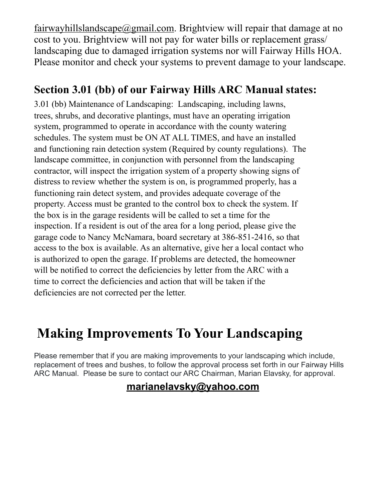fairwayhillslandscape@gmail.com. Brightview will repair that damage at no cost to you. Brightview will not pay for water bills or replacement grass/ landscaping due to damaged irrigation systems nor will Fairway Hills HOA. Please monitor and check your systems to prevent damage to your landscape.

### **Section 3.01 (bb) of our Fairway Hills ARC Manual states:**

3.01 (bb) Maintenance of Landscaping: Landscaping, including lawns, trees, shrubs, and decorative plantings, must have an operating irrigation system, programmed to operate in accordance with the county watering schedules. The system must be ON AT ALL TIMES, and have an installed and functioning rain detection system (Required by county regulations). The landscape committee, in conjunction with personnel from the landscaping contractor, will inspect the irrigation system of a property showing signs of distress to review whether the system is on, is programmed properly, has a functioning rain detect system, and provides adequate coverage of the property. Access must be granted to the control box to check the system. If the box is in the garage residents will be called to set a time for the inspection. If a resident is out of the area for a long period, please give the garage code to Nancy McNamara, board secretary at 386-851-2416, so that access to the box is available. As an alternative, give her a local contact who is authorized to open the garage. If problems are detected, the homeowner will be notified to correct the deficiencies by letter from the ARC with a time to correct the deficiencies and action that will be taken if the deficiencies are not corrected per the letter.

## **Making Improvements To Your Landscaping**

Please remember that if you are making improvements to your landscaping which include, replacement of trees and bushes, to follow the approval process set forth in our Fairway Hills ARC Manual. Please be sure to contact our ARC Chairman, Marian Elavsky, for approval.

#### **marianelavsky@yahoo.com**